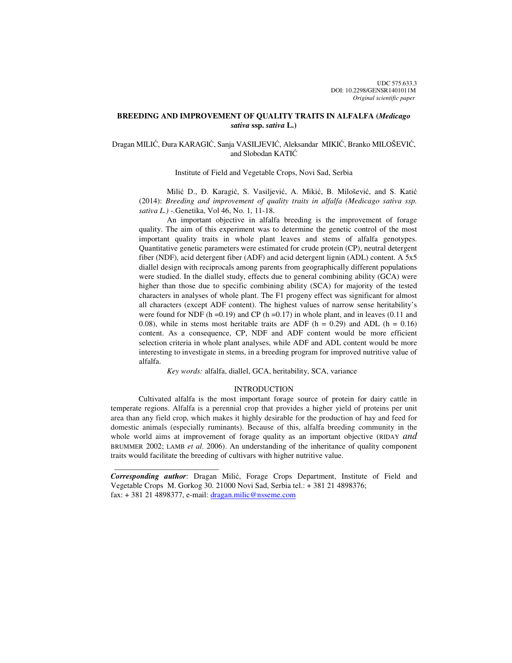# **BREEDING AND IMPROVEMENT OF QUALITY TRAITS IN ALFALFA (***Medicago sativa* **ssp.** *sativa* **L.)**

# Dragan MILIĆ, Đura KARAGIĆ, Sanja VASILJEVIĆ, Aleksandar MIKIĆ, Branko MILOŠEVIĆ, and Slobodan KATIĆ

# Institute of Field and Vegetable Crops, Novi Sad, Serbia

Milić D., Đ. Karagić, S. Vasiljević, A. Mikić, B. Milošević, and S. Katić (2014): *Breeding and improvement of quality traits in alfalfa (Medicago sativa ssp. sativa L.) -.*Genetika, Vol 46, No. 1, 11-18.

An important objective in alfalfa breeding is the improvement of forage quality. The aim of this experiment was to determine the genetic control of the most important quality traits in whole plant leaves and stems of alfalfa genotypes. Quantitative genetic parameters were estimated for crude protein (CP), neutral detergent fiber (NDF), acid detergent fiber (ADF) and acid detergent lignin (ADL) content. A 5x5 diallel design with reciprocals among parents from geographically different populations were studied. In the diallel study, effects due to general combining ability (GCA) were higher than those due to specific combining ability (SCA) for majority of the tested characters in analyses of whole plant. The F1 progeny effect was significant for almost all characters (except ADF content). The highest values of narrow sense heritability's were found for NDF (h =0.19) and CP (h =0.17) in whole plant, and in leaves (0.11 and 0.08), while in stems most heritable traits are ADF ( $h = 0.29$ ) and ADL ( $h = 0.16$ ) content. As a consequence, CP, NDF and ADF content would be more efficient selection criteria in whole plant analyses, while ADF and ADL content would be more interesting to investigate in stems, in a breeding program for improved nutritive value of alfalfa.

*Key words:* alfalfa, diallel, GCA, heritability, SCA, variance

## INTRODUCTION

Cultivated alfalfa is the most important forage source of protein for dairy cattle in temperate regions. Alfalfa is a perennial crop that provides a higher yield of proteins per unit area than any field crop, which makes it highly desirable for the production of hay and feed for domestic animals (especially ruminants). Because of this, alfalfa breeding community in the whole world aims at improvement of forage quality as an important objective (RIDAY *and* BRUMMER 2002; LAMB *et al*. 2006). An understanding of the inheritance of quality component traits would facilitate the breeding of cultivars with higher nutritive value.

*Corresponding author*: Dragan Milić, Forage Crops Department, Institute of Field and Vegetable Crops M. Gorkog 30. 21000 Novi Sad, Serbia tel.: + 381 21 4898376; fax: + 381 21 4898377, e-mail: dragan.milic@nsseme.com

 $\frac{1}{2}$  , and the set of the set of the set of the set of the set of the set of the set of the set of the set of the set of the set of the set of the set of the set of the set of the set of the set of the set of the set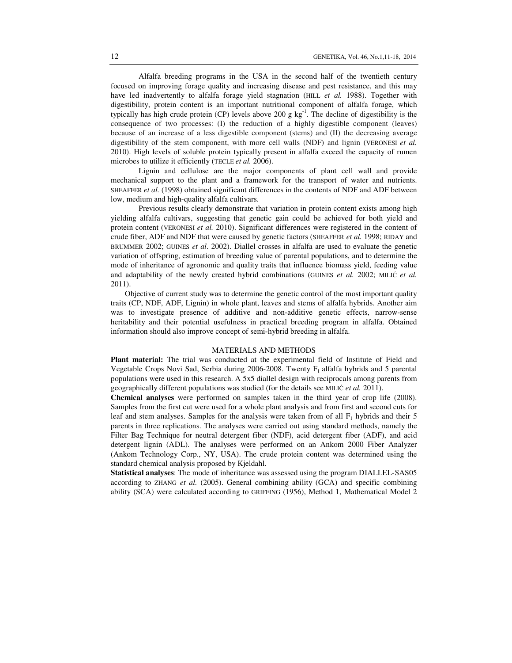Alfalfa breeding programs in the USA in the second half of the twentieth century focused on improving forage quality and increasing disease and pest resistance, and this may have led inadvertently to alfalfa forage yield stagnation (HILL *et al.* 1988). Together with digestibility, protein content is an important nutritional component of alfalfa forage, which typically has high crude protein (CP) levels above 200 g  $kg<sup>-1</sup>$ . The decline of digestibility is the consequence of two processes: (I) the reduction of a highly digestible component (leaves) because of an increase of a less digestible component (stems) and (II) the decreasing average digestibility of the stem component, with more cell walls (NDF) and lignin (VERONESI *et al.* 2010). High levels of soluble protein typically present in alfalfa exceed the capacity of rumen microbes to utilize it efficiently (TECLE *et al.* 2006).

Lignin and cellulose are the major components of plant cell wall and provide mechanical support to the plant and a framework for the transport of water and nutrients. SHEAFFER *et al.* (1998) obtained significant differences in the contents of NDF and ADF between low, medium and high-quality alfalfa cultivars.

Previous results clearly demonstrate that variation in protein content exists among high yielding alfalfa cultivars, suggesting that genetic gain could be achieved for both yield and protein content (VERONESI *et al.* 2010). Significant differences were registered in the content of crude fiber, ADF and NDF that were caused by genetic factors (SHEAFFER *et al.* 1998; RIDAY and BRUMMER 2002; GUINES *et al*. 2002). Diallel crosses in alfalfa are used to evaluate the genetic variation of offspring, estimation of breeding value of parental populations, and to determine the mode of inheritance of agronomic and quality traits that influence biomass yield, feeding value and adaptability of the newly created hybrid combinations (GUINES *et al.* 2002; MILIĆ *et al.* 2011).

 Objective of current study was to determine the genetic control of the most important quality traits (CP, NDF, ADF, Lignin) in whole plant, leaves and stems of alfalfa hybrids. Another aim was to investigate presence of additive and non-additive genetic effects, narrow-sense heritability and their potential usefulness in practical breeding program in alfalfa. Obtained information should also improve concept of semi-hybrid breeding in alfalfa.

# MATERIALS AND METHODS

Plant material: The trial was conducted at the experimental field of Institute of Field and Vegetable Crops Novi Sad, Serbia during  $2006-2008$ . Twenty  $F_1$  alfalfa hybrids and 5 parental populations were used in this research. A 5x5 diallel design with reciprocals among parents from geographically different populations was studied (for the details see MILIĆ *et al.* 2011).

**Chemical analyses** were performed on samples taken in the third year of crop life (2008). Samples from the first cut were used for a whole plant analysis and from first and second cuts for leaf and stem analyses. Samples for the analysis were taken from of all  $F_1$  hybrids and their 5 parents in three replications. The analyses were carried out using standard methods, namely the Filter Bag Technique for neutral detergent fiber (NDF), acid detergent fiber (ADF), and acid detergent lignin (ADL). The analyses were performed on an Ankom 2000 Fiber Analyzer (Ankom Technology Corp., NY, USA). The crude protein content was determined using the standard chemical analysis proposed by Kjeldahl.

**Statistical analyses**: The mode of inheritance was assessed using the program DIALLEL-SAS05 according to ZHANG *et al.* (2005). General combining ability (GCA) and specific combining ability (SCA) were calculated according to GRIFFING (1956), Method 1, Mathematical Model 2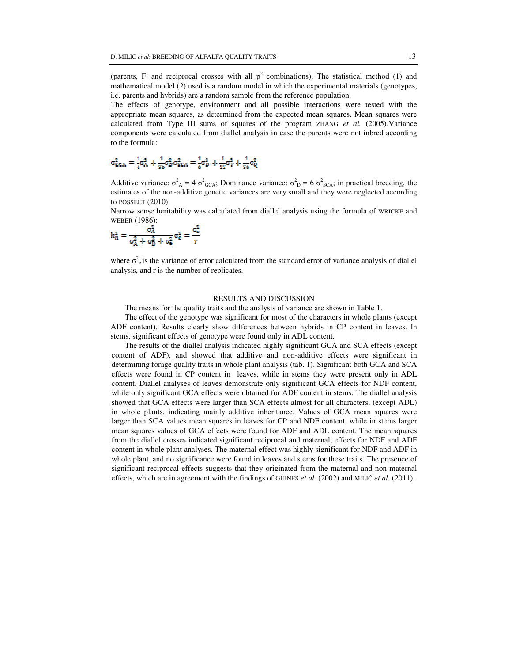(parents,  $F_1$  and reciprocal crosses with all  $p^2$  combinations). The statistical method (1) and mathematical model (2) used is a random model in which the experimental materials (genotypes, i.e. parents and hybrids) are a random sample from the reference population.

The effects of genotype, environment and all possible interactions were tested with the appropriate mean squares, as determined from the expected mean squares. Mean squares were calculated from Type III sums of squares of the program ZHANG *et al.* (2005).Variance components were calculated from diallel analysis in case the parents were not inbred according to the formula:

$$
\sigma_{\text{CCA}}^2 = \tfrac{1}{4}\sigma_{\text{A}}^2 + \tfrac{1}{80}\sigma_{\text{D}}^2\sigma_{\text{CCA}}^2 = \tfrac{1}{6}\sigma_{\text{D}}^2 + \tfrac{1}{18}\sigma_{\text{T}}^2 + \tfrac{1}{80}\sigma_{\text{Q}}^2
$$

Additive variance:  $\sigma_{A}^2 = 4 \sigma_{GCA}^2$ ; Dominance variance:  $\sigma_{D}^2 = 6 \sigma_{SCA}^2$ ; in practical breeding, the estimates of the non-additive genetic variances are very small and they were neglected according to POSSELT (2010).

Narrow sense heritability was calculated from diallel analysis using the formula of WRICKE and WEBER (1986):

$$
h_n^2 = \frac{\sigma_A^2}{\sigma_A^2 + \sigma_D^2 + \sigma_e^2} \sigma_e^2 = \frac{\sigma_e^2}{r}
$$

where  $\sigma^2$ <sub>e</sub> is the variance of error calculated from the standard error of variance analysis of diallel analysis, and r is the number of replicates.

# RESULTS AND DISCUSSION

The means for the quality traits and the analysis of variance are shown in Table 1.

The effect of the genotype was significant for most of the characters in whole plants (except ADF content). Results clearly show differences between hybrids in CP content in leaves. In stems, significant effects of genotype were found only in ADL content.

 The results of the diallel analysis indicated highly significant GCA and SCA effects (except content of ADF), and showed that additive and non-additive effects were significant in determining forage quality traits in whole plant analysis (tab. 1). Significant both GCA and SCA effects were found in CP content in leaves, while in stems they were present only in ADL content. Diallel analyses of leaves demonstrate only significant GCA effects for NDF content, while only significant GCA effects were obtained for ADF content in stems. The diallel analysis showed that GCA effects were larger than SCA effects almost for all characters, (except ADL) in whole plants, indicating mainly additive inheritance. Values of GCA mean squares were larger than SCA values mean squares in leaves for CP and NDF content, while in stems larger mean squares values of GCA effects were found for ADF and ADL content. The mean squares from the diallel crosses indicated significant reciprocal and maternal, effects for NDF and ADF content in whole plant analyses. The maternal effect was highly significant for NDF and ADF in whole plant, and no significance were found in leaves and stems for these traits. The presence of significant reciprocal effects suggests that they originated from the maternal and non-maternal effects, which are in agreement with the findings of GUINES *et al.* (2002) and MILIĆ *et al.* (2011).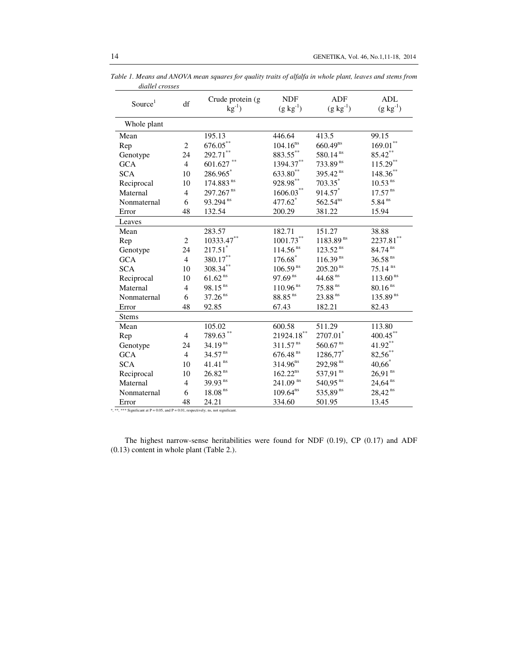| Source <sup>1</sup> | df             | Crude protein (g<br>$kg^{-1}$ ) | <b>NDF</b><br>$(g kg^{-1})$ | <b>ADF</b><br>$(g kg^{-1})$ | <b>ADL</b><br>$(g \text{ kg}^{-1})$ |
|---------------------|----------------|---------------------------------|-----------------------------|-----------------------------|-------------------------------------|
|                     |                |                                 |                             |                             |                                     |
| Whole plant         |                |                                 |                             |                             |                                     |
| Mean                |                | 195.13                          | 446.64                      | 413.5                       | 99.15                               |
| Rep                 | $\overline{2}$ | $676.05***$                     | $104.16^{ns}$               | $660.49^{ns}$               | $169.01***$                         |
| Genotype            | 24             | $292.71***$                     | 883.55**                    | 580.14 <sup>ns</sup>        | $85.42***$                          |
| <b>GCA</b>          | $\overline{4}$ | $601.627$ **                    | 1394.37**                   | 733.89 <sup>ns</sup>        | $115.29***$                         |
| <b>SCA</b>          | 10             | 286.965*                        | 633.80**                    | 395.42 <sup>ns</sup>        | 148.36**                            |
| Reciprocal          | 10             | 174.883 <sup>ns</sup>           | $928.98^{\ast\ast}$         | $703.35$ *                  | $10.53$ <sup>ns</sup>               |
| Maternal            | $\overline{4}$ | 297.267 <sup>ns</sup>           | 1606.03**                   | 914.57*                     | $17.57$ <sup>ns</sup>               |
| Nonmaternal         | 6              | 93.294 <sup>ns</sup>            | 477.62                      | $562.54^{ns}$               | $5.84$ <sup>ns</sup>                |
| Error               | 48             | 132.54                          | 200.29                      | 381.22                      | 15.94                               |
| Leaves              |                |                                 |                             |                             |                                     |
| Mean                |                | 283.57                          | 182.71                      | 151.27                      | 38.88                               |
| Rep                 | $\overline{2}$ | 10333.47**                      | $1001.73***$                | $1183.89^{ns}$              | $2237.81$ **                        |
| Genotype            | 24             | $217.51$ *                      | $114.56$ <sup>ns</sup>      | $123.52$ <sup>ns</sup>      | 84.74 ns                            |
| <b>GCA</b>          | $\overline{4}$ | 380.17**                        | $176.68*$                   | $116.39^{ns}$               | $36.58$ <sup>ns</sup>               |
| <b>SCA</b>          | 10             | 308.34**                        | $106.59^{ns}$               | $205.20$ <sup>ns</sup>      | $75.14$ <sup>ns</sup>               |
| Reciprocal          | 10             | $61.62^{ns}$                    | $97.69^{ns}$                | 44.68 $^{\rm ns}$           | 113.60 <sup>ns</sup>                |
| Maternal            | $\overline{4}$ | $98.15$ <sup>ns</sup>           | $110.96$ <sup>ns</sup>      | $75.88$ <sup>ns</sup>       | $80.16^{\,\rm ns}$                  |
| Nonmaternal         | 6              | $37.26$ <sup>ns</sup>           | $88.85\,^{\rm ns}$          | 23.88 <sup>ns</sup>         | $135.89^{ns}$                       |
| Error               | 48             | 92.85                           | 67.43                       | 182.21                      | 82.43                               |
| <b>Stems</b>        |                |                                 |                             |                             |                                     |
| Mean                |                | 105.02                          | 600.58                      | 511.29                      | 113.80                              |
| Rep                 | 4              | 789.63**                        | $21924.18***$               | 2707.01*                    | $400.45***$                         |
| Genotype            | 24             | $34.19^{ns}$                    | $311.57^{ns}$               | $560.67$ <sup>ns</sup>      | $41.92**$                           |
| <b>GCA</b>          | $\overline{4}$ | $34.57$ <sup>ns</sup>           | $676.48$ $^{\rm ns}$        | 1286,77*                    | 82,56**                             |
| <b>SCA</b>          | 10             | $41.41$ <sup>ns</sup>           | $314.96^{ns}$               | 292,98 <sup>ns</sup>        | $40,66$ <sup>*</sup>                |
| Reciprocal          | 10             | $26.82$ $^{\rm ns}$             | $162.22^{ns}$               | 537,91 ns                   | $26,91$ <sup>ns</sup>               |
| Maternal            | $\overline{4}$ | $39.93$ <sup>ns</sup>           | $241.09$ <sup>ns</sup>      | $540,95$ <sup>ns</sup>      | $24,64$ <sup>ns</sup>               |
| Nonmaternal         | 6              | $18.08$ <sup>ns</sup>           | $109.64^{ns}$               | 535,89 ns                   | $28,42^{ns}$                        |
| Error               | 48             | 24.21                           | 334.60                      | 501.95                      | 13.45                               |

*Table 1. Means and ANOVA mean squares for quality traits of alfalfa in whole plant, leaves and stems from diallel crosses* 

\*, \*\*\* Significant at  $P = 0.05$ , and  $P = 0.01$ , respectively; ns, not significant.

The highest narrow-sense heritabilities were found for NDF (0.19), CP (0.17) and ADF (0.13) content in whole plant (Table 2.).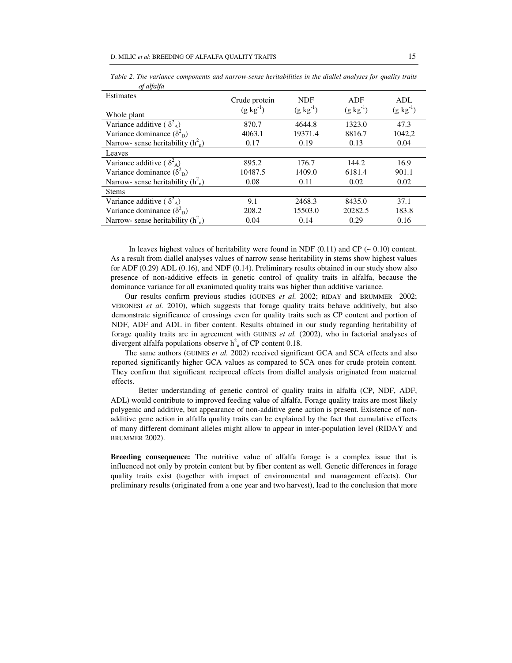| Estimates<br>Whole plant                      | Crude protein<br>$(g \text{ kg}^{-1})$ | <b>NDF</b><br>$(g \text{ kg}^{-1})$ | ADF<br>$(g \text{ kg}^{-1})$ | ADL<br>$(g \text{ kg}^{-1})$ |
|-----------------------------------------------|----------------------------------------|-------------------------------------|------------------------------|------------------------------|
| Variance additive ( $\delta^2$ <sub>A</sub> ) | 870.7                                  | 4644.8                              | 1323.0                       | 47.3                         |
| Variance dominance $(\delta_{\rm D}^2)$       | 4063.1                                 | 19371.4                             | 8816.7                       | 1042,2                       |
| Narrow- sense heritability $(h2n)$            | 0.17                                   | 0.19                                | 0.13                         | 0.04                         |
| Leaves                                        |                                        |                                     |                              |                              |
| Variance additive ( $\delta^2$ <sub>A</sub> ) | 895.2                                  | 176.7                               | 144.2                        | 16.9                         |
| Variance dominance $(\delta_{\rm D}^2)$       | 10487.5                                | 1409.0                              | 6181.4                       | 901.1                        |
| Narrow- sense heritability $(h2n)$            | 0.08                                   | 0.11                                | 0.02                         | 0.02                         |
| <b>Stems</b>                                  |                                        |                                     |                              |                              |
| Variance additive ( $\delta^2$ <sub>A</sub> ) | 9.1                                    | 2468.3                              | 8435.0                       | 37.1                         |
| Variance dominance $(\delta_{\rm D}^2)$       | 208.2                                  | 15503.0                             | 20282.5                      | 183.8                        |
| Narrow- sense heritability $(h2n)$            | 0.04                                   | 0.14                                | 0.29                         | 0.16                         |

*Table 2. The variance components and narrow-sense heritabilities in the diallel analyses for quality traits of alfalfa* 

In leaves highest values of heritability were found in NDF  $(0.11)$  and CP ( $\sim 0.10$ ) content. As a result from diallel analyses values of narrow sense heritability in stems show highest values for ADF (0.29) ADL (0.16), and NDF (0.14). Preliminary results obtained in our study show also presence of non-additive effects in genetic control of quality traits in alfalfa, because the dominance variance for all exanimated quality traits was higher than additive variance.

 Our results confirm previous studies (GUINES *et al.* 2002; RIDAY and BRUMMER 2002; VERONESI *et al.* 2010), which suggests that forage quality traits behave additively, but also demonstrate significance of crossings even for quality traits such as CP content and portion of NDF, ADF and ADL in fiber content. Results obtained in our study regarding heritability of forage quality traits are in agreement with GUINES *et al.* (2002), who in factorial analyses of divergent alfalfa populations observe  $h<sup>2</sup><sub>n</sub>$  of CP content 0.18.

 The same authors (GUINES *et al.* 2002) received significant GCA and SCA effects and also reported significantly higher GCA values as compared to SCA ones for crude protein content. They confirm that significant reciprocal effects from diallel analysis originated from maternal effects.

Better understanding of genetic control of quality traits in alfalfa (CP, NDF, ADF, ADL) would contribute to improved feeding value of alfalfa. Forage quality traits are most likely polygenic and additive, but appearance of non-additive gene action is present. Existence of nonadditive gene action in alfalfa quality traits can be explained by the fact that cumulative effects of many different dominant alleles might allow to appear in inter-population level (RIDAY and BRUMMER 2002).

**Breeding consequence:** The nutritive value of alfalfa forage is a complex issue that is influenced not only by protein content but by fiber content as well. Genetic differences in forage quality traits exist (together with impact of environmental and management effects). Our preliminary results (originated from a one year and two harvest), lead to the conclusion that more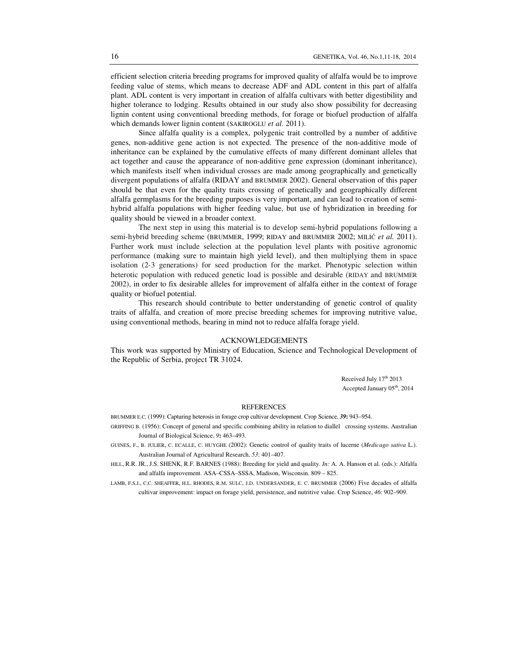efficient selection criteria breeding programs for improved quality of alfalfa would be to improve feeding value of stems, which means to decrease ADF and ADL content in this part of alfalfa plant. ADL content is very important in creation of alfalfa cultivars with better digestibility and higher tolerance to lodging. Results obtained in our study also show possibility for decreasing lignin content using conventional breeding methods, for forage or biofuel production of alfalfa which demands lower lignin content (SAKIROGLU *et al.* 2011).

Since alfalfa quality is a complex, polygenic trait controlled by a number of additive genes, non-additive gene action is not expected. The presence of the non-additive mode of inheritance can be explained by the cumulative effects of many different dominant alleles that act together and cause the appearance of non-additive gene expression (dominant inheritance), which manifests itself when individual crosses are made among geographically and genetically divergent populations of alfalfa (RIDAY and BRUMMER 2002). General observation of this paper should be that even for the quality traits crossing of genetically and geographically different alfalfa germplasms for the breeding purposes is very important, and can lead to creation of semihybrid alfalfa populations with higher feeding value, but use of hybridization in breeding for quality should be viewed in a broader context.

The next step in using this material is to develop semi-hybrid populations following a semi-hybrid breeding scheme (BRUMMER, 1999; RIDAY and BRUMMER 2002; MILIĆ *et al.* 2011). Further work must include selection at the population level plants with positive agronomic performance (making sure to maintain high yield level), and then multiplying them in space isolation (2-3 generations) for seed production for the market. Phenotypic selection within heterotic population with reduced genetic load is possible and desirable (RIDAY and BRUMMER 2002), in order to fix desirable alleles for improvement of alfalfa either in the context of forage quality or biofuel potential.

This research should contribute to better understanding of genetic control of quality traits of alfalfa, and creation of more precise breeding schemes for improving nutritive value, using conventional methods, bearing in mind not to reduce alfalfa forage yield.

# ACKNOWLEDGEMENTS

This work was supported by Ministry of Education, Science and Technological Development of the Republic of Serbia, project TR 31024.

> Received July 17<sup>th</sup> 2013 Accepted January 05th, 2014

#### REFERENCES

BRUMMER E.C. (1999): Capturing heterosis in forage crop cultivar development. Crop Science, *39***:** 943–954.

GRIFFING B. (1956): Concept of general and specific combining ability in relation to diallel crossing systems. Australian Journal of Biological Science, *9***:** 463–493.

- GUINES, F., B. JULIER, C. ECALLE, C. HUYGHE (2002): Genetic control of quality traits of lucerne (*Medicago sativa* L.). Australian Journal of Agricultural Research, *53*: 401–407.
- HILL, R.R. JR., J.S. SHENK, R.F. BARNES (1988): Breeding for yield and quality. *In:* A. A. Hanson et al. (eds.): Alfalfa and alfalfa improvement. ASA–CSSA–SSSA, Madison, Wisconsin. 809 – 825.

LAMB, F.S.J., C.C. SHEAFFER, H.L. RHODES, R.M. SULC, J.D. UNDERSANDER, E. C. BRUMMER (2006) Five decades of alfalfa cultivar improvement: impact on forage yield, persistence, and nutritive value. Crop Science, *46*: 902–909.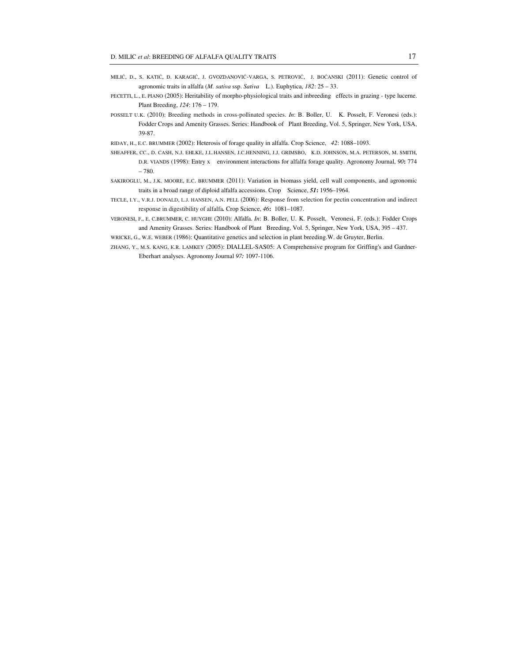- MILIĆ, D., S. KATIĆ, Đ. KARAGIĆ, J. GVOZDANOVIĆ-VARGA, S. PETROVIĆ, J. BOĆANSKI (2011): Genetic control of agronomic traits in alfalfa (*M. sativa* ssp. *Sativa* L.). Euphytica, *182*: 25 – 33.
- PECETTI, L., E. PIANO (2005): Heritability of morpho-physiological traits and inbreeding effects in grazing type lucerne. Plant Breeding, *124*: 176 – 179.
- POSSELT U.K. (2010): Breeding methods in cross-pollinated species. *In*: B. Boller, U. K. Posselt, F. Veronesi (eds.): Fodder Crops and Amenity Grasses. Series: Handbook of Plant Breeding, Vol. 5, Springer, New York, USA, 39-87.

RIDAY, H., E.C. BRUMMER (2002): Heterosis of forage quality in alfalfa. Crop Science, *42*: 1088–1093.

- SHEAFFER, CC., D. CASH, N.J. EHLKE, J.L.HANSEN, J.C.HENNING, J.J. GRIMSBO, K.D. JOHNSON, M.A. PETERSON, M. SMITH, D.R. VIANDS (1998): Entry x environment interactions for alfalfa forage quality. Agronomy Journal, *90***:** 774 – 780.
- SAKIROGLU, M., J.K. MOORE, E.C. BRUMMER (2011): Variation in biomass yield, cell wall components, and agronomic traits in a broad range of diploid alfalfa accessions. Crop Science, *51***:** 1956–1964.
- TECLE, I.Y., V.R.J. DONALD, L.J. HANSEN, A.N. PELL (2006): Response from selection for pectin concentration and indirect response in digestibility of alfalfa*.* Crop Science, *46***:** 1081–1087.
- VERONESI, F., E. C.BRUMMER, C. HUYGHE (2010): Alfalfa. *In*: B. Boller, U. K. Posselt, Veronesi, F. (eds.): Fodder Crops and Amenity Grasses. Series: Handbook of Plant Breeding, Vol. 5, Springer, New York, USA, 395 – 437.

WRICKE, G., W.E. WEBER (1986): Quantitative genetics and selection in plant breeding.W. de Gruyter, Berlin.

ZHANG, Y., M.S. KANG, К.R. LAMKEY (2005): DIALLEL-SAS05: A Comprehensive program for Griffing's and Gardner-Eberhart analyses. Agronomy Journal *97:* 1097-1106.